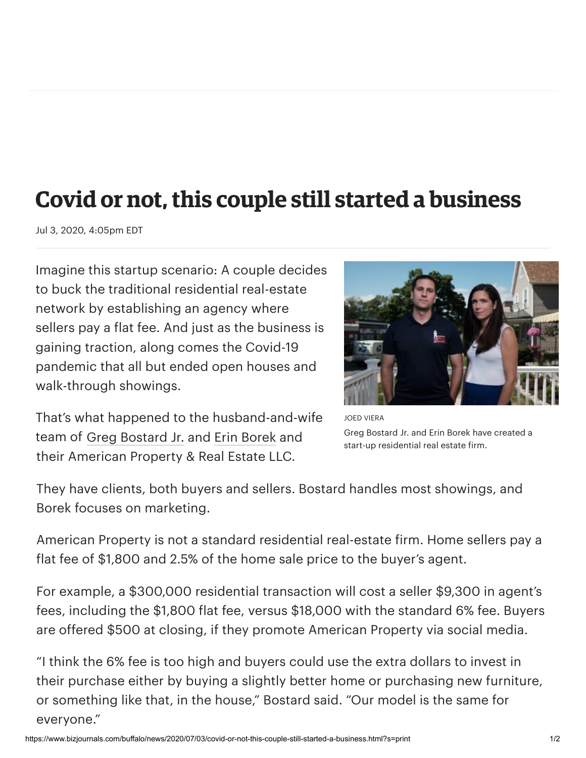## **Covid or not, this couple still started a business**

Jul 3, 2020, 4:05pm EDT

Imagine this startup scenario: A couple decides to buck the traditional residential real-estate network by establishing an agency where sellers pay a flat fee. And just as the business is gaining traction, along comes the Covid-19 pandemic that all but ended open houses and walk-through showings.



That's what happened to the husband-and-wife team of Greg [Bostard](https://www.bizjournals.com/buffalo/search/results?q=Greg%20Bostard%20Jr.) Jr. and Erin [Borek](https://www.bizjournals.com/buffalo/search/results?q=Erin%20Borek) and their American Property & Real Estate LLC.

JOED VIERA Greg Bostard Jr. and Erin Borek have created a start-up residential real estate firm.

They have clients, both buyers and sellers. Bostard handles most showings, and Borek focuses on marketing.

American Property is not a standard residential real-estate firm. Home sellers pay a flat fee of \$1,800 and 2.5% of the home sale price to the buyer's agent.

For example, a \$300,000 residential transaction will cost a seller \$9,300 in agent's fees, including the \$1,800 flat fee, versus \$18,000 with the standard 6% fee. Buyers are offered \$500 at closing, if they promote American Property via social media.

"I think the 6% fee is too high and buyers could use the extra dollars to invest in their purchase either by buying a slightly better home or purchasing new furniture, or something like that, in the house," Bostard said. "Our model is the same for everyone."